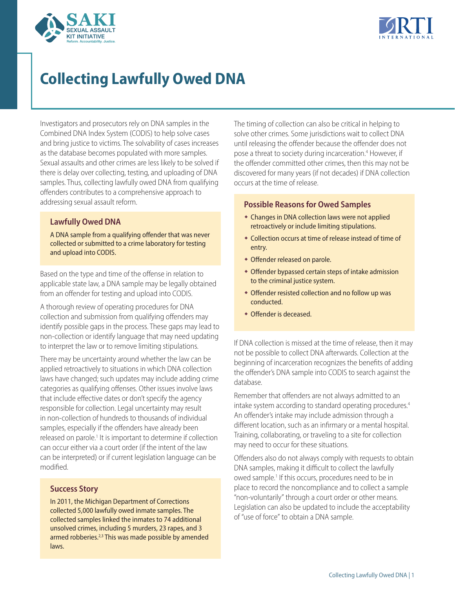



# **Collecting Lawfully Owed DNA**

Investigators and prosecutors rely on DNA samples in the Combined DNA Index System (CODIS) to help solve cases and bring justice to victims. The solvability of cases increases as the database becomes populated with more samples. Sexual assaults and other crimes are less likely to be solved if there is delay over collecting, testing, and uploading of DNA samples. Thus, collecting lawfully owed DNA from qualifying offenders contributes to a comprehensive approach to addressing sexual assault reform.

# **Lawfully Owed DNA**

A DNA sample from a qualifying offender that was never collected or submitted to a crime laboratory for testing and upload into CODIS.

Based on the type and time of the offense in relation to applicable state law, a DNA sample may be legally obtained from an offender for testing and upload into CODIS.

A thorough review of operating procedures for DNA collection and submission from qualifying offenders may identify possible gaps in the process. These gaps may lead to non-collection or identify language that may need updating to interpret the law or to remove limiting stipulations.

There may be uncertainty around whether the law can be applied retroactively to situations in which DNA collection laws have changed; such updates may include adding crime categories as qualifying offenses. Other issues involve laws that include effective dates or don't specify the agency responsible for collection. Legal uncertainty may result in non-collection of hundreds to thousands of individual samples, especially if the offenders have already been released on parole.<sup>1</sup> It is important to determine if collection can occur either via a court order (if the intent of the law can be interpreted) or if current legislation language can be modified.

## **Success Story**

In 2011, the Michigan Department of Corrections collected 5,000 lawfully owed inmate samples. The collected samples linked the inmates to 74 additional unsolved crimes, including 5 murders, 23 rapes, and 3 armed robberies.<sup>2,3</sup> This was made possible by amended laws.

The timing of collection can also be critical in helping to solve other crimes. Some jurisdictions wait to collect DNA until releasing the offender because the offender does not pose a threat to society during incarceration.<sup>4</sup> However, if the offender committed other crimes, then this may not be discovered for many years (if not decades) if DNA collection occurs at the time of release.

## **Possible Reasons for Owed Samples**

- Changes in DNA collection laws were not applied retroactively or include limiting stipulations.
- Collection occurs at time of release instead of time of entry.
- Offender released on parole.
- Offender bypassed certain steps of intake admission to the criminal justice system.
- Offender resisted collection and no follow up was conducted.
- Offender is deceased.

If DNA collection is missed at the time of release, then it may not be possible to collect DNA afterwards. Collection at the beginning of incarceration recognizes the benefits of adding the offender's DNA sample into CODIS to search against the database.

Remember that offenders are not always admitted to an intake system according to standard operating procedures.<sup>4</sup> An offender's intake may include admission through a different location, such as an infirmary or a mental hospital. Training, collaborating, or traveling to a site for collection may need to occur for these situations.

Offenders also do not always comply with requests to obtain DNA samples, making it difficult to collect the lawfully owed sample.<sup>1</sup> If this occurs, procedures need to be in place to record the noncompliance and to collect a sample "non-voluntarily" through a court order or other means. Legislation can also be updated to include the acceptability of "use of force" to obtain a DNA sample.